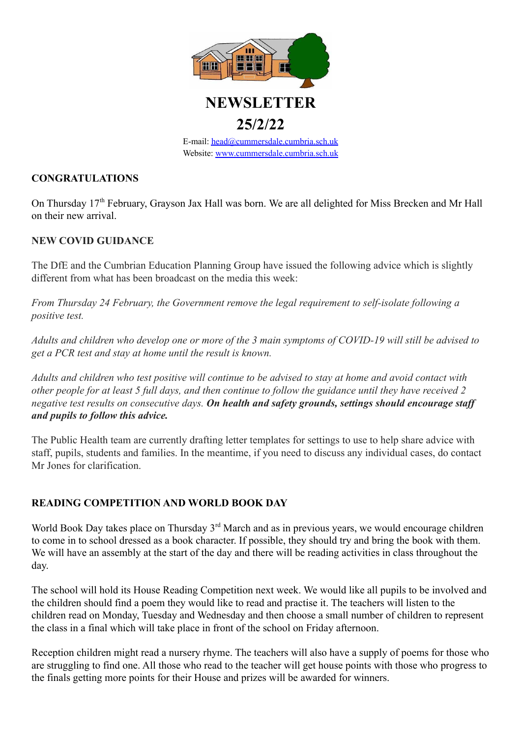

# **25/2/22**

E-mail: [head@cummersdale.cumbria.sch.uk](mailto:head@cummersdale.cumbria.sch.uk) Website: [www.cummersdale.cumbria.sch.uk](http://www.cummersdale.cumbria.sch.uk)

#### **CONGRATULATIONS**

On Thursday 17<sup>th</sup> February, Grayson Jax Hall was born. We are all delighted for Miss Brecken and Mr Hall on their new arrival.

#### **NEW COVID GUIDANCE**

The DfE and the Cumbrian Education Planning Group have issued the following advice which is slightly different from what has been broadcast on the media this week:

*From Thursday 24 February, the Government remove the legal requirement to self-isolate following a positive test.*

*Adults and children who develop one or more of the 3 main symptoms of COVID-19 will still be advised to get a PCR test and stay at home until the result is known.*

*Adults and children who test positive will continue to be advised to stay at home and avoid contact with other people for at least 5 full days, and then continue to follow the guidance until they have received 2 negative test results on consecutive days. On health and safety grounds, settings should encourage staff and pupils to follow this advice.*

The Public Health team are currently drafting letter templates for settings to use to help share advice with staff, pupils, students and families. In the meantime, if you need to discuss any individual cases, do contact Mr Jones for clarification.

#### **READING COMPETITION AND WORLD BOOK DAY**

World Book Day takes place on Thursday 3<sup>rd</sup> March and as in previous years, we would encourage children to come in to school dressed as a book character. If possible, they should try and bring the book with them. We will have an assembly at the start of the day and there will be reading activities in class throughout the day.

The school will hold its House Reading Competition next week. We would like all pupils to be involved and the children should find a poem they would like to read and practise it. The teachers will listen to the children read on Monday, Tuesday and Wednesday and then choose a small number of children to represent the class in a final which will take place in front of the school on Friday afternoon.

Reception children might read a nursery rhyme. The teachers will also have a supply of poems for those who are struggling to find one. All those who read to the teacher will get house points with those who progress to the finals getting more points for their House and prizes will be awarded for winners.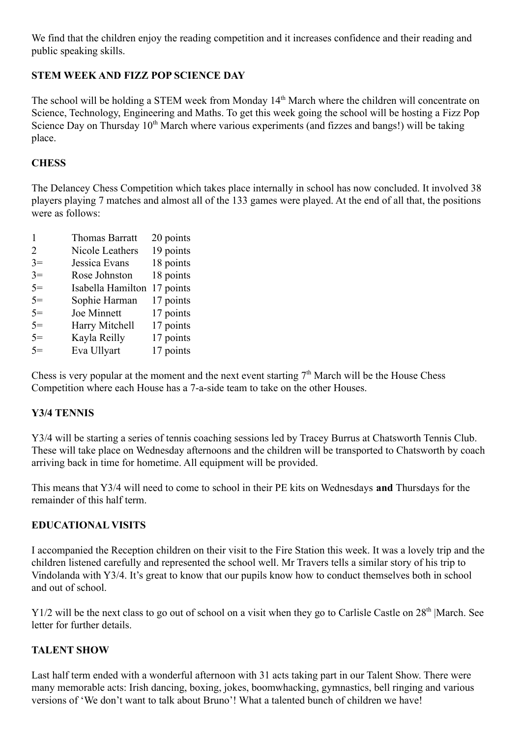We find that the children enjoy the reading competition and it increases confidence and their reading and public speaking skills.

## **STEM WEEK AND FIZZ POP SCIENCE DAY**

The school will be holding a STEM week from Monday 14<sup>th</sup> March where the children will concentrate on Science, Technology, Engineering and Maths. To get this week going the school will be hosting a Fizz Pop Science Day on Thursday 10<sup>th</sup> March where various experiments (and fizzes and bangs!) will be taking place.

## **CHESS**

The Delancey Chess Competition which takes place internally in school has now concluded. It involved 38 players playing 7 matches and almost all of the 133 games were played. At the end of all that, the positions were as follows:

|      | <b>Thomas Barratt</b> | 20 points |
|------|-----------------------|-----------|
| 2    | Nicole Leathers       | 19 points |
| $3=$ | Jessica Evans         | 18 points |
| $3=$ | Rose Johnston         | 18 points |
| $5=$ | Isabella Hamilton     | 17 points |
| $5=$ | Sophie Harman         | 17 points |
| $5=$ | Joe Minnett           | 17 points |
| $5=$ | Harry Mitchell        | 17 points |
| $5=$ | Kayla Reilly          | 17 points |
| $5=$ | Eva Ullyart           | 17 points |

Chess is very popular at the moment and the next event starting  $7<sup>th</sup>$  March will be the House Chess Competition where each House has a 7-a-side team to take on the other Houses.

## **Y3/4 TENNIS**

Y3/4 will be starting a series of tennis coaching sessions led by Tracey Burrus at Chatsworth Tennis Club. These will take place on Wednesday afternoons and the children will be transported to Chatsworth by coach arriving back in time for hometime. All equipment will be provided.

This means that Y3/4 will need to come to school in their PE kits on Wednesdays **and** Thursdays for the remainder of this half term.

## **EDUCATIONAL VISITS**

I accompanied the Reception children on their visit to the Fire Station this week. It was a lovely trip and the children listened carefully and represented the school well. Mr Travers tells a similar story of his trip to Vindolanda with Y3/4. It's great to know that our pupils know how to conduct themselves both in school and out of school.

Y1/2 will be the next class to go out of school on a visit when they go to Carlisle Castle on 28<sup>th</sup> |March. See letter for further details.

## **TALENT SHOW**

Last half term ended with a wonderful afternoon with 31 acts taking part in our Talent Show. There were many memorable acts: Irish dancing, boxing, jokes, boomwhacking, gymnastics, bell ringing and various versions of 'We don't want to talk about Bruno'! What a talented bunch of children we have!